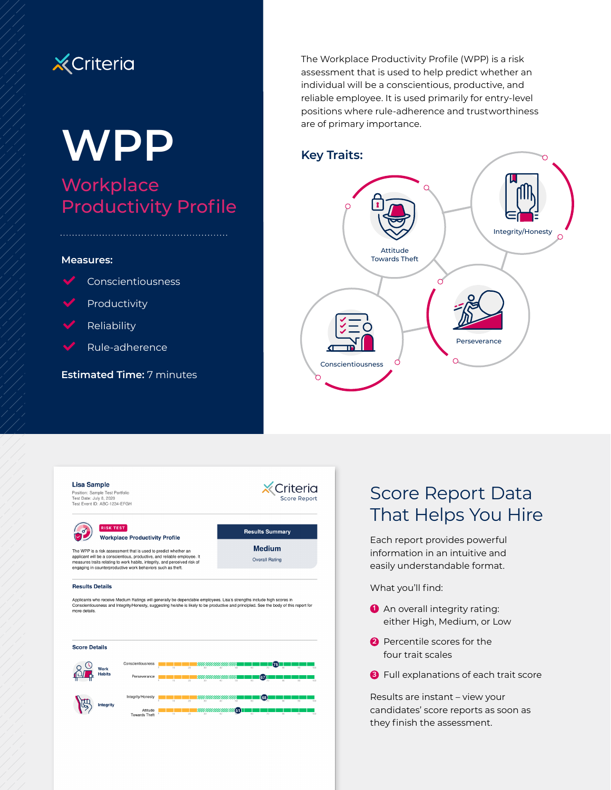

# **WPP Workplace** Productivity Profile

### **Measures:**



- Productivity
- Reliability
- Rule-adherence

**Estimated Time:** 7 minutes

The Workplace Productivity Profile (WPP) is a risk assessment that is used to help predict whether an individual will be a conscientious, productive, and reliable employee. It is used primarily for entry-level positions where rule-adherence and trustworthiness are of primary importance.

## **Key Traits:**

Criteria

**Results Summary** 

**Medium** 

Overall Rating

Score Report



#### **Lisa Sample**

Position: Sample Test Portfolio<br>Test Date: July 8, 2020<br>Test Event ID: ABC-1234-EFGH



### **RISK TEST Workplace Productivity Profile**

The WPP is a risk assessment that is used to predict whether an applicant will be a conscientious, productive, and reliable employee. It measures traits relating to work habits, integrity, and perceived risk of engaging in counterproductive work behaviors such as theft.

#### **Results Details**

Applicants who receive Medium Ratings will generally be dependable employees. Lisa's strengths include high scores in<br>Conscientiousness and Integrity/Honesty, suggesting he/she is likely to be productive and principled. Se



## Score Report Data That Helps You Hire

Each report provides powerful information in an intuitive and easily understandable format.

What you'll find:

- **1** An overall integrity rating: either High, Medium, or Low
- **2** Percentile scores for the four trait scales
- **3** Full explanations of each trait score

Results are instant – view your candidates' score reports as soon as they finish the assessment.